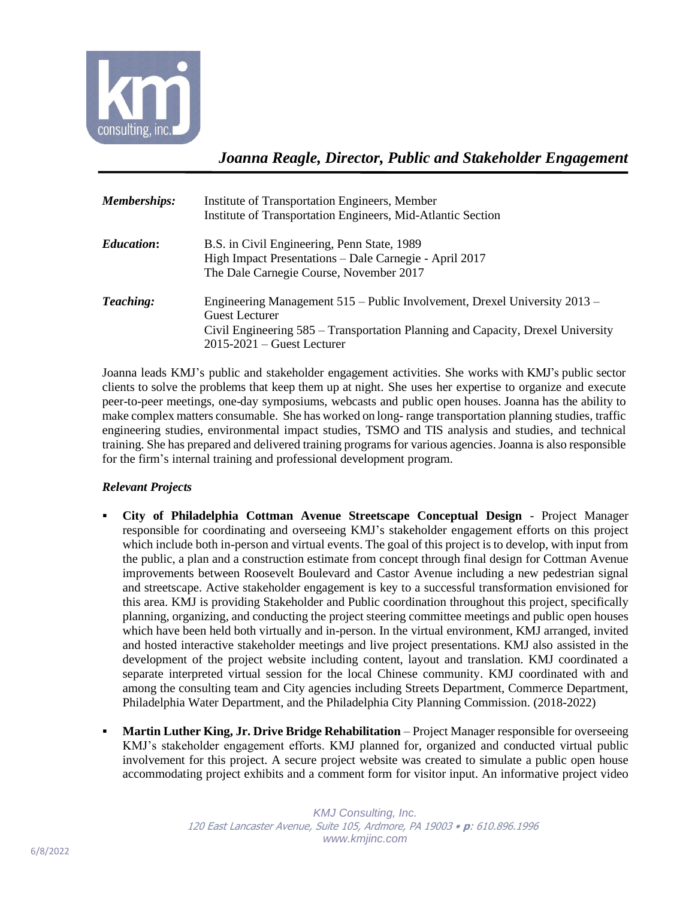

*Joanna Reagle, Director, Public and Stakeholder Engagement*

| Memberships:      | Institute of Transportation Engineers, Member<br>Institute of Transportation Engineers, Mid-Atlantic Section                                                                                                            |
|-------------------|-------------------------------------------------------------------------------------------------------------------------------------------------------------------------------------------------------------------------|
| <b>Education:</b> | B.S. in Civil Engineering, Penn State, 1989<br>High Impact Presentations - Dale Carnegie - April 2017<br>The Dale Carnegie Course, November 2017                                                                        |
| Teaching:         | Engineering Management 515 – Public Involvement, Drexel University 2013 –<br><b>Guest Lecturer</b><br>Civil Engineering 585 – Transportation Planning and Capacity, Drexel University<br>$2015 - 2021$ – Guest Lecturer |

Joanna leads KMJ's public and stakeholder engagement activities. She works with KMJ's public sector clients to solve the problems that keep them up at night. She uses her expertise to organize and execute peer-to-peer meetings, one-day symposiums, webcasts and public open houses. Joanna has the ability to make complex matters consumable. She has worked on long- range transportation planning studies, traffic engineering studies, environmental impact studies, TSMO and TIS analysis and studies, and technical training. She has prepared and delivered training programs for various agencies. Joanna is also responsible for the firm's internal training and professional development program.

## *Relevant Projects*

- **City of Philadelphia Cottman Avenue Streetscape Conceptual Design**  Project Manager responsible for coordinating and overseeing KMJ's stakeholder engagement efforts on this project which include both in-person and virtual events. The goal of this project is to develop, with input from the public, a plan and a construction estimate from concept through final design for Cottman Avenue improvements between Roosevelt Boulevard and Castor Avenue including a new pedestrian signal and streetscape. Active stakeholder engagement is key to a successful transformation envisioned for this area. KMJ is providing Stakeholder and Public coordination throughout this project, specifically planning, organizing, and conducting the project steering committee meetings and public open houses which have been held both virtually and in-person. In the virtual environment, KMJ arranged, invited and hosted interactive stakeholder meetings and live project presentations. KMJ also assisted in the development of the project website including content, layout and translation. KMJ coordinated a separate interpreted virtual session for the local Chinese community. KMJ coordinated with and among the consulting team and City agencies including Streets Department, Commerce Department, Philadelphia Water Department, and the Philadelphia City Planning Commission. (2018-2022)
- **Martin Luther King, Jr. Drive Bridge Rehabilitation** Project Manager responsible for overseeing KMJ's stakeholder engagement efforts. KMJ planned for, organized and conducted virtual public involvement for this project. A secure project website was created to simulate a public open house accommodating project exhibits and a comment form for visitor input. An informative project video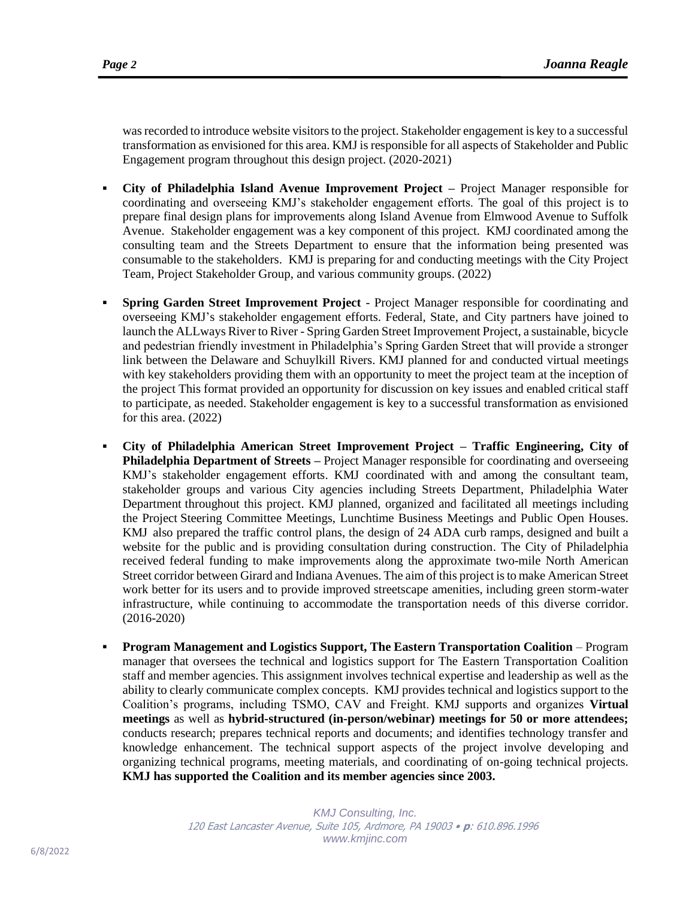was recorded to introduce website visitors to the project. Stakeholder engagement is key to a successful transformation as envisioned for this area. KMJ is responsible for all aspects of Stakeholder and Public Engagement program throughout this design project. (2020-2021)

- **City of Philadelphia Island Avenue Improvement Project –** Project Manager responsible for coordinating and overseeing KMJ's stakeholder engagement efforts. The goal of this project is to prepare final design plans for improvements along Island Avenue from Elmwood Avenue to Suffolk Avenue. Stakeholder engagement was a key component of this project. KMJ coordinated among the consulting team and the Streets Department to ensure that the information being presented was consumable to the stakeholders. KMJ is preparing for and conducting meetings with the City Project Team, Project Stakeholder Group, and various community groups. (2022)
- **Spring Garden Street Improvement Project** Project Manager responsible for coordinating and overseeing KMJ's stakeholder engagement efforts. Federal, State, and City partners have joined to launch the ALLways River to River - Spring Garden Street Improvement Project, a sustainable, bicycle and pedestrian friendly investment in Philadelphia's Spring Garden Street that will provide a stronger link between the Delaware and Schuylkill Rivers. KMJ planned for and conducted virtual meetings with key stakeholders providing them with an opportunity to meet the project team at the inception of the project This format provided an opportunity for discussion on key issues and enabled critical staff to participate, as needed. Stakeholder engagement is key to a successful transformation as envisioned for this area. (2022)
- **City of Philadelphia American Street Improvement Project – Traffic Engineering, City of Philadelphia Department of Streets –** Project Manager responsible for coordinating and overseeing KMJ's stakeholder engagement efforts. KMJ coordinated with and among the consultant team, stakeholder groups and various City agencies including Streets Department, Philadelphia Water Department throughout this project. KMJ planned, organized and facilitated all meetings including the Project Steering Committee Meetings, Lunchtime Business Meetings and Public Open Houses. KMJ also prepared the traffic control plans, the design of 24 ADA curb ramps, designed and built a website for the public and is providing consultation during construction. The City of Philadelphia received federal funding to make improvements along the approximate two-mile North American Street corridor between Girard and Indiana Avenues. The aim of this project isto make American Street work better for its users and to provide improved streetscape amenities, including green storm-water infrastructure, while continuing to accommodate the transportation needs of this diverse corridor. (2016-2020)
- **Program Management and Logistics Support, The Eastern Transportation Coalition**  Program manager that oversees the technical and logistics support for The Eastern Transportation Coalition staff and member agencies. This assignment involves technical expertise and leadership as well as the ability to clearly communicate complex concepts. KMJ provides technical and logistics support to the Coalition's programs, including TSMO, CAV and Freight. KMJ supports and organizes **Virtual meetings** as well as **hybrid-structured (in-person/webinar) meetings for 50 or more attendees;** conducts research; prepares technical reports and documents; and identifies technology transfer and knowledge enhancement. The technical support aspects of the project involve developing and organizing technical programs, meeting materials, and coordinating of on-going technical projects. **KMJ has supported the Coalition and its member agencies since 2003.**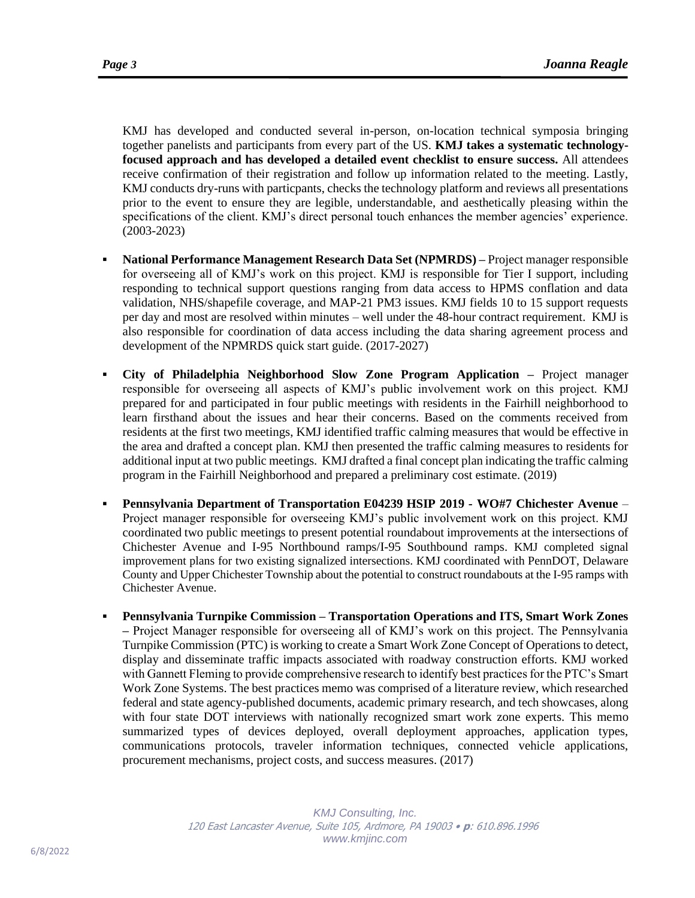KMJ has developed and conducted several in-person, on-location technical symposia bringing together panelists and participants from every part of the US. **KMJ takes a systematic technologyfocused approach and has developed a detailed event checklist to ensure success.** All attendees receive confirmation of their registration and follow up information related to the meeting. Lastly, KMJ conducts dry-runs with particpants, checks the technology platform and reviews all presentations prior to the event to ensure they are legible, understandable, and aesthetically pleasing within the specifications of the client. KMJ's direct personal touch enhances the member agencies' experience. (2003-2023)

- **National Performance Management Research Data Set (NPMRDS)** Project manager responsible for overseeing all of KMJ's work on this project. KMJ is responsible for Tier I support, including responding to technical support questions ranging from data access to HPMS conflation and data validation, NHS/shapefile coverage, and MAP-21 PM3 issues. KMJ fields 10 to 15 support requests per day and most are resolved within minutes – well under the 48-hour contract requirement. KMJ is also responsible for coordination of data access including the data sharing agreement process and development of the NPMRDS quick start guide. (2017-2027)
- **City of Philadelphia Neighborhood Slow Zone Program Application –** Project manager responsible for overseeing all aspects of KMJ's public involvement work on this project. KMJ prepared for and participated in four public meetings with residents in the Fairhill neighborhood to learn firsthand about the issues and hear their concerns. Based on the comments received from residents at the first two meetings, KMJ identified traffic calming measures that would be effective in the area and drafted a concept plan. KMJ then presented the traffic calming measures to residents for additional input at two public meetings. KMJ drafted a final concept plan indicating the traffic calming program in the Fairhill Neighborhood and prepared a preliminary cost estimate. (2019)
- **Pennsylvania Department of Transportation E04239 HSIP 2019 - WO#7 Chichester Avenue** Project manager responsible for overseeing KMJ's public involvement work on this project. KMJ coordinated two public meetings to present potential roundabout improvements at the intersections of Chichester Avenue and I-95 Northbound ramps/I-95 Southbound ramps. KMJ completed signal improvement plans for two existing signalized intersections. KMJ coordinated with PennDOT, Delaware County and Upper Chichester Township about the potential to construct roundabouts at the I-95 ramps with Chichester Avenue.
- **Pennsylvania Turnpike Commission – Transportation Operations and ITS, Smart Work Zones –** Project Manager responsible for overseeing all of KMJ's work on this project. The Pennsylvania Turnpike Commission (PTC) is working to create a Smart Work Zone Concept of Operations to detect, display and disseminate traffic impacts associated with roadway construction efforts. KMJ worked with Gannett Fleming to provide comprehensive research to identify best practices for the PTC's Smart Work Zone Systems. The best practices memo was comprised of a literature review, which researched federal and state agency-published documents, academic primary research, and tech showcases, along with four state DOT interviews with nationally recognized smart work zone experts. This memo summarized types of devices deployed, overall deployment approaches, application types, communications protocols, traveler information techniques, connected vehicle applications, procurement mechanisms, project costs, and success measures. (2017)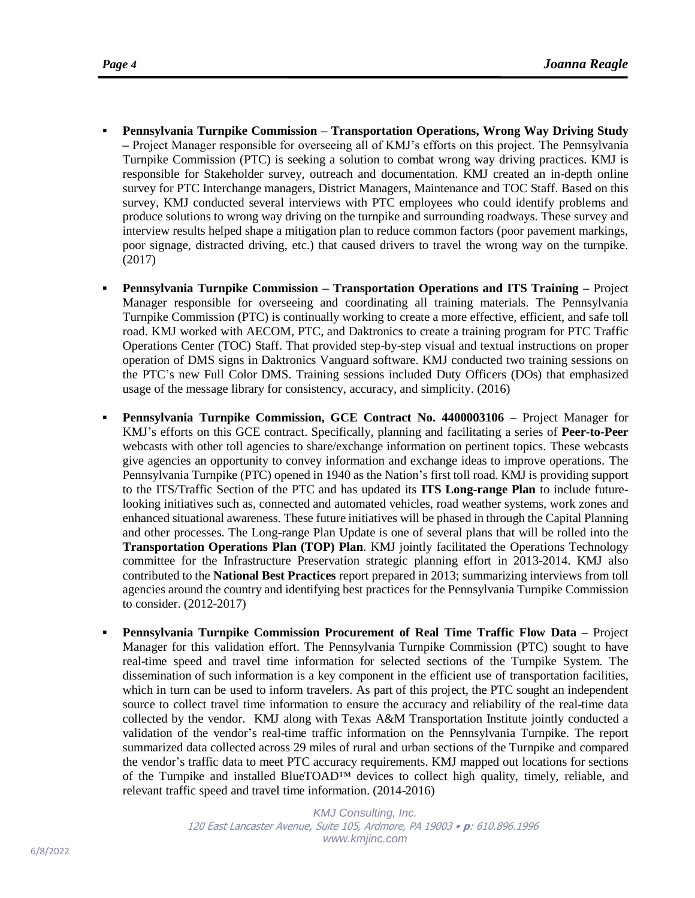- **Pennsylvania Turnpike Commission – Transportation Operations, Wrong Way Driving Study –** Project Manager responsible for overseeing all of KMJ's efforts on this project. The Pennsylvania Turnpike Commission (PTC) is seeking a solution to combat wrong way driving practices. KMJ is responsible for Stakeholder survey, outreach and documentation. KMJ created an in-depth online survey for PTC Interchange managers, District Managers, Maintenance and TOC Staff. Based on this survey, KMJ conducted several interviews with PTC employees who could identify problems and produce solutions to wrong way driving on the turnpike and surrounding roadways. These survey and interview results helped shape a mitigation plan to reduce common factors (poor pavement markings, poor signage, distracted driving, etc.) that caused drivers to travel the wrong way on the turnpike. (2017)
- **Pennsylvania Turnpike Commission – Transportation Operations and ITS Training –** Project Manager responsible for overseeing and coordinating all training materials. The Pennsylvania Turnpike Commission (PTC) is continually working to create a more effective, efficient, and safe toll road. KMJ worked with AECOM, PTC, and Daktronics to create a training program for PTC Traffic Operations Center (TOC) Staff. That provided step-by-step visual and textual instructions on proper operation of DMS signs in Daktronics Vanguard software. KMJ conducted two training sessions on the PTC's new Full Color DMS. Training sessions included Duty Officers (DOs) that emphasized usage of the message library for consistency, accuracy, and simplicity. (2016)
- **Pennsylvania Turnpike Commission, GCE Contract No. 4400003106 –** Project Manager for KMJ's efforts on this GCE contract. Specifically, planning and facilitating a series of **Peer-to-Peer**  webcasts with other toll agencies to share/exchange information on pertinent topics. These webcasts give agencies an opportunity to convey information and exchange ideas to improve operations. The Pennsylvania Turnpike (PTC) opened in 1940 as the Nation's first toll road. KMJ is providing support to the ITS/Traffic Section of the PTC and has updated its **ITS Long-range Plan** to include futurelooking initiatives such as, connected and automated vehicles, road weather systems, work zones and enhanced situational awareness. These future initiatives will be phased in through the Capital Planning and other processes. The Long-range Plan Update is one of several plans that will be rolled into the **Transportation Operations Plan (TOP) Plan**. KMJ jointly facilitated the Operations Technology committee for the Infrastructure Preservation strategic planning effort in 2013-2014. KMJ also contributed to the **National Best Practices** report prepared in 2013; summarizing interviews from toll agencies around the country and identifying best practices for the Pennsylvania Turnpike Commission to consider. (2012-2017)
- **Pennsylvania Turnpike Commission Procurement of Real Time Traffic Flow Data –** Project Manager for this validation effort. The Pennsylvania Turnpike Commission (PTC) sought to have real-time speed and travel time information for selected sections of the Turnpike System. The dissemination of such information is a key component in the efficient use of transportation facilities, which in turn can be used to inform travelers. As part of this project, the PTC sought an independent source to collect travel time information to ensure the accuracy and reliability of the real-time data collected by the vendor. KMJ along with Texas A&M Transportation Institute jointly conducted a validation of the vendor's real-time traffic information on the Pennsylvania Turnpike. The report summarized data collected across 29 miles of rural and urban sections of the Turnpike and compared the vendor's traffic data to meet PTC accuracy requirements. KMJ mapped out locations for sections of the Turnpike and installed BlueTOAD™ devices to collect high quality, timely, reliable, and relevant traffic speed and travel time information. (2014-2016)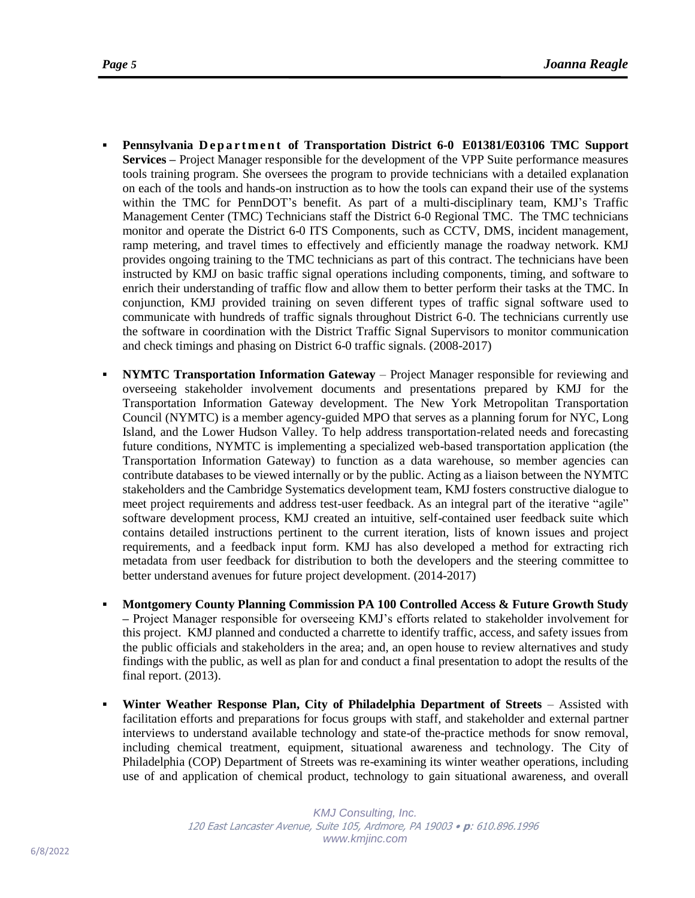- **Pennsylvania Department of Transportation District 6-0 E01381/E03106 TMC Support Services –** Project Manager responsible for the development of the VPP Suite performance measures tools training program. She oversees the program to provide technicians with a detailed explanation on each of the tools and hands-on instruction as to how the tools can expand their use of the systems within the TMC for PennDOT's benefit. As part of a multi-disciplinary team, KMJ's Traffic Management Center (TMC) Technicians staff the District 6-0 Regional TMC. The TMC technicians monitor and operate the District 6-0 ITS Components, such as CCTV, DMS, incident management, ramp metering, and travel times to effectively and efficiently manage the roadway network. KMJ provides ongoing training to the TMC technicians as part of this contract. The technicians have been instructed by KMJ on basic traffic signal operations including components, timing, and software to enrich their understanding of traffic flow and allow them to better perform their tasks at the TMC. In conjunction, KMJ provided training on seven different types of traffic signal software used to communicate with hundreds of traffic signals throughout District 6-0. The technicians currently use the software in coordination with the District Traffic Signal Supervisors to monitor communication and check timings and phasing on District 6-0 traffic signals. (2008-2017)
- **NYMTC** Transportation Information Gateway Project Manager responsible for reviewing and overseeing stakeholder involvement documents and presentations prepared by KMJ for the Transportation Information Gateway development. The New York Metropolitan Transportation Council (NYMTC) is a member agency-guided MPO that serves as a planning forum for NYC, Long Island, and the Lower Hudson Valley. To help address transportation-related needs and forecasting future conditions, NYMTC is implementing a specialized web-based transportation application (the Transportation Information Gateway) to function as a data warehouse, so member agencies can contribute databases to be viewed internally or by the public. Acting as a liaison between the NYMTC stakeholders and the Cambridge Systematics development team, KMJ fosters constructive dialogue to meet project requirements and address test-user feedback. As an integral part of the iterative "agile" software development process, KMJ created an intuitive, self-contained user feedback suite which contains detailed instructions pertinent to the current iteration, lists of known issues and project requirements, and a feedback input form. KMJ has also developed a method for extracting rich metadata from user feedback for distribution to both the developers and the steering committee to better understand avenues for future project development. (2014-2017)
- **Montgomery County Planning Commission PA 100 Controlled Access & Future Growth Study –** Project Manager responsible for overseeing KMJ's efforts related to stakeholder involvement for this project. KMJ planned and conducted a charrette to identify traffic, access, and safety issues from the public officials and stakeholders in the area; and, an open house to review alternatives and study findings with the public, as well as plan for and conduct a final presentation to adopt the results of the final report. (2013).
- **Winter Weather Response Plan, City of Philadelphia Department of Streets** Assisted with facilitation efforts and preparations for focus groups with staff, and stakeholder and external partner interviews to understand available technology and state-of the-practice methods for snow removal, including chemical treatment, equipment, situational awareness and technology. The City of Philadelphia (COP) Department of Streets was re-examining its winter weather operations, including use of and application of chemical product, technology to gain situational awareness, and overall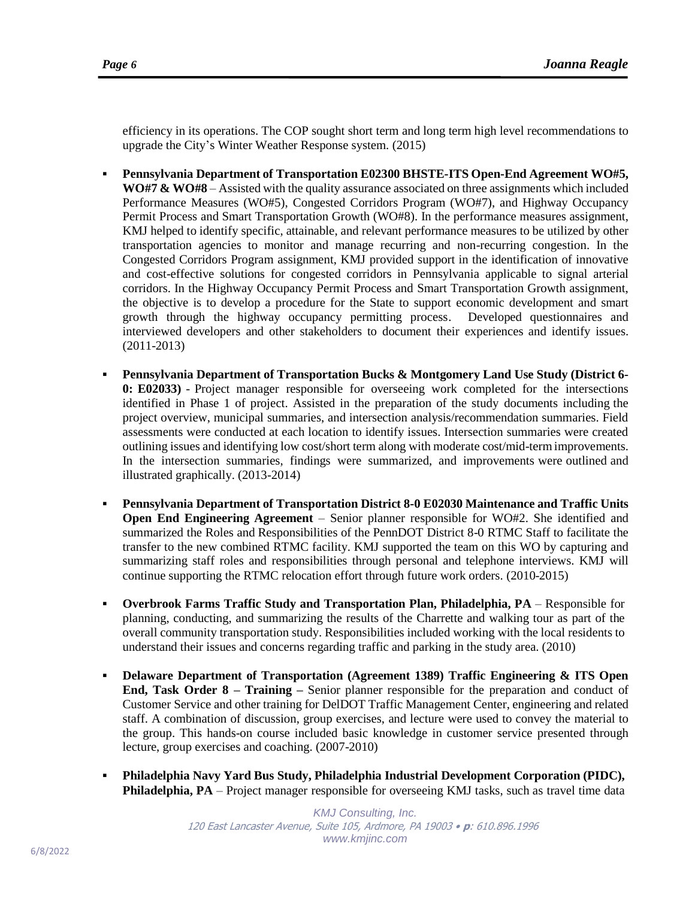efficiency in its operations. The COP sought short term and long term high level recommendations to upgrade the City's Winter Weather Response system. (2015)

- **Pennsylvania Department of Transportation E02300 BHSTE-ITS Open-End Agreement WO#5, WO#7 & WO#8** – Assisted with the quality assurance associated on three assignments which included Performance Measures (WO#5), Congested Corridors Program (WO#7), and Highway Occupancy Permit Process and Smart Transportation Growth (WO#8). In the performance measures assignment, KMJ helped to identify specific, attainable, and relevant performance measures to be utilized by other transportation agencies to monitor and manage recurring and non-recurring congestion. In the Congested Corridors Program assignment, KMJ provided support in the identification of innovative and cost-effective solutions for congested corridors in Pennsylvania applicable to signal arterial corridors. In the Highway Occupancy Permit Process and Smart Transportation Growth assignment, the objective is to develop a procedure for the State to support economic development and smart growth through the highway occupancy permitting process. Developed questionnaires and interviewed developers and other stakeholders to document their experiences and identify issues. (2011-2013)
- **Pennsylvania Department of Transportation Bucks & Montgomery Land Use Study (District 6- 0: E02033)** - Project manager responsible for overseeing work completed for the intersections identified in Phase 1 of project. Assisted in the preparation of the study documents including the project overview, municipal summaries, and intersection analysis/recommendation summaries. Field assessments were conducted at each location to identify issues. Intersection summaries were created outlining issues and identifying low cost/short term along with moderate cost/mid-termimprovements. In the intersection summaries, findings were summarized, and improvements were outlined and illustrated graphically. (2013-2014)
- **Pennsylvania Department of Transportation District 8-0 E02030 Maintenance and Traffic Units Open End Engineering Agreement** – Senior planner responsible for WO#2. She identified and summarized the Roles and Responsibilities of the PennDOT District 8-0 RTMC Staff to facilitate the transfer to the new combined RTMC facility. KMJ supported the team on this WO by capturing and summarizing staff roles and responsibilities through personal and telephone interviews. KMJ will continue supporting the RTMC relocation effort through future work orders. (2010-2015)
- **Overbrook Farms Traffic Study and Transportation Plan, Philadelphia, PA** Responsible for planning, conducting, and summarizing the results of the Charrette and walking tour as part of the overall community transportation study. Responsibilities included working with the local residents to understand their issues and concerns regarding traffic and parking in the study area. (2010)
- **Delaware Department of Transportation (Agreement 1389) Traffic Engineering & ITS Open End, Task Order 8 – Training –** Senior planner responsible for the preparation and conduct of Customer Service and other training for DelDOT Traffic Management Center, engineering and related staff. A combination of discussion, group exercises, and lecture were used to convey the material to the group. This hands-on course included basic knowledge in customer service presented through lecture, group exercises and coaching. (2007-2010)
- **Philadelphia Navy Yard Bus Study, Philadelphia Industrial Development Corporation (PIDC), Philadelphia, PA** – Project manager responsible for overseeing KMJ tasks, such as travel time data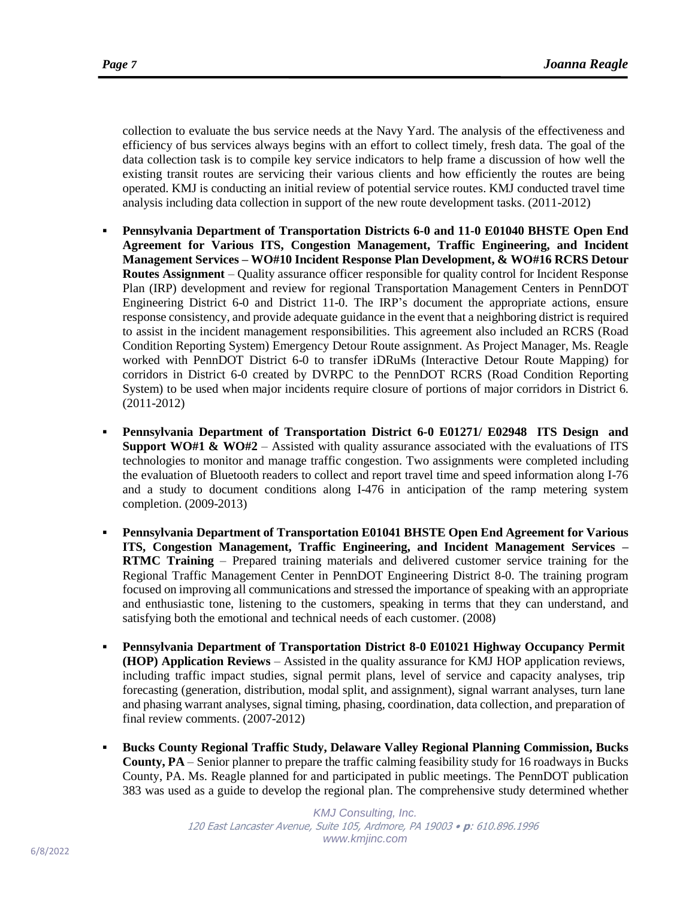collection to evaluate the bus service needs at the Navy Yard. The analysis of the effectiveness and efficiency of bus services always begins with an effort to collect timely, fresh data. The goal of the data collection task is to compile key service indicators to help frame a discussion of how well the existing transit routes are servicing their various clients and how efficiently the routes are being operated. KMJ is conducting an initial review of potential service routes. KMJ conducted travel time analysis including data collection in support of the new route development tasks. (2011-2012)

- **Pennsylvania Department of Transportation Districts 6-0 and 11-0 E01040 BHSTE Open End Agreement for Various ITS, Congestion Management, Traffic Engineering, and Incident Management Services – WO#10 Incident Response Plan Development, & WO#16 RCRS Detour Routes Assignment** – Quality assurance officer responsible for quality control for Incident Response Plan (IRP) development and review for regional Transportation Management Centers in PennDOT Engineering District 6-0 and District 11-0. The IRP's document the appropriate actions, ensure response consistency, and provide adequate guidance in the event that a neighboring district is required to assist in the incident management responsibilities. This agreement also included an RCRS (Road Condition Reporting System) Emergency Detour Route assignment. As Project Manager, Ms. Reagle worked with PennDOT District 6-0 to transfer iDRuMs (Interactive Detour Route Mapping) for corridors in District 6-0 created by DVRPC to the PennDOT RCRS (Road Condition Reporting System) to be used when major incidents require closure of portions of major corridors in District 6. (2011-2012)
- **Pennsylvania Department of Transportation District 6-0 E01271/ E02948 ITS Design and Support WO#1 & WO#2** – Assisted with quality assurance associated with the evaluations of ITS technologies to monitor and manage traffic congestion. Two assignments were completed including the evaluation of Bluetooth readers to collect and report travel time and speed information along I-76 and a study to document conditions along I-476 in anticipation of the ramp metering system completion. (2009-2013)
- **Pennsylvania Department of Transportation E01041 BHSTE Open End Agreement for Various ITS, Congestion Management, Traffic Engineering, and Incident Management Services – RTMC Training** – Prepared training materials and delivered customer service training for the Regional Traffic Management Center in PennDOT Engineering District 8-0. The training program focused on improving all communications and stressed the importance of speaking with an appropriate and enthusiastic tone, listening to the customers, speaking in terms that they can understand, and satisfying both the emotional and technical needs of each customer. (2008)
- **Pennsylvania Department of Transportation District 8-0 E01021 Highway Occupancy Permit (HOP) Application Reviews** – Assisted in the quality assurance for KMJ HOP application reviews, including traffic impact studies, signal permit plans, level of service and capacity analyses, trip forecasting (generation, distribution, modal split, and assignment), signal warrant analyses, turn lane and phasing warrant analyses, signal timing, phasing, coordination, data collection, and preparation of final review comments. (2007-2012)
- **Bucks County Regional Traffic Study, Delaware Valley Regional Planning Commission, Bucks County, PA** – Senior planner to prepare the traffic calming feasibility study for 16 roadways in Bucks County, PA. Ms. Reagle planned for and participated in public meetings. The PennDOT publication 383 was used as a guide to develop the regional plan. The comprehensive study determined whether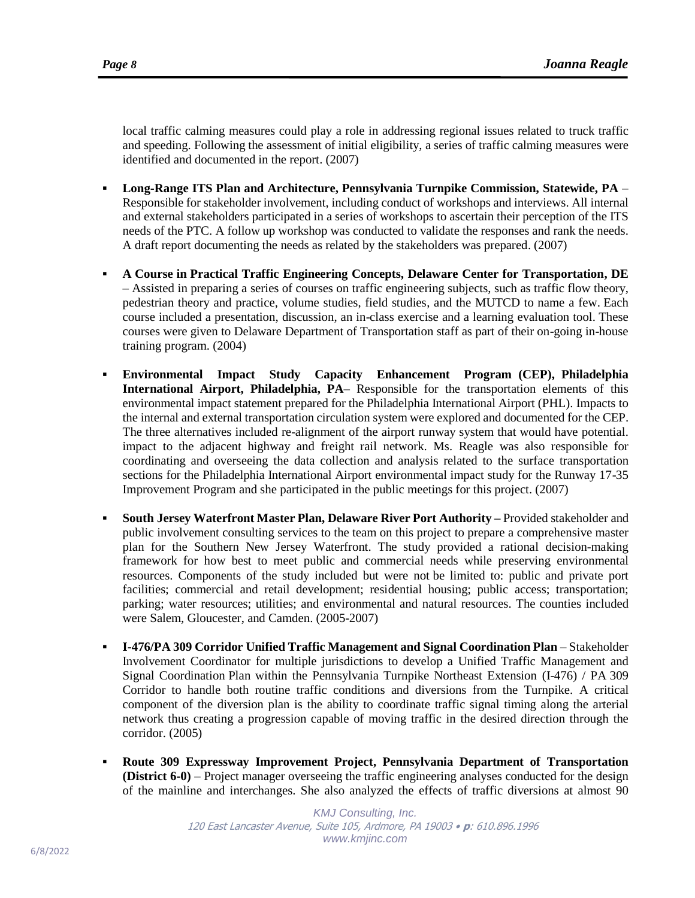local traffic calming measures could play a role in addressing regional issues related to truck traffic and speeding. Following the assessment of initial eligibility, a series of traffic calming measures were identified and documented in the report. (2007)

- **Long-Range ITS Plan and Architecture, Pennsylvania Turnpike Commission, Statewide, PA** Responsible for stakeholder involvement, including conduct of workshops and interviews. All internal and external stakeholders participated in a series of workshops to ascertain their perception of the ITS needs of the PTC. A follow up workshop was conducted to validate the responses and rank the needs. A draft report documenting the needs as related by the stakeholders was prepared. (2007)
- **A Course in Practical Traffic Engineering Concepts, Delaware Center for Transportation, DE**  – Assisted in preparing a series of courses on traffic engineering subjects, such as traffic flow theory, pedestrian theory and practice, volume studies, field studies, and the MUTCD to name a few. Each course included a presentation, discussion, an in-class exercise and a learning evaluation tool. These courses were given to Delaware Department of Transportation staff as part of their on-going in-house training program. (2004)
- **Environmental Impact Study Capacity Enhancement Program (CEP), Philadelphia International Airport, Philadelphia, PA–** Responsible for the transportation elements of this environmental impact statement prepared for the Philadelphia International Airport (PHL). Impacts to the internal and external transportation circulation system were explored and documented for the CEP. The three alternatives included re-alignment of the airport runway system that would have potential. impact to the adjacent highway and freight rail network. Ms. Reagle was also responsible for coordinating and overseeing the data collection and analysis related to the surface transportation sections for the Philadelphia International Airport environmental impact study for the Runway 17-35 Improvement Program and she participated in the public meetings for this project. (2007)
- **South Jersey Waterfront Master Plan, Delaware River Port Authority –** Provided stakeholder and public involvement consulting services to the team on this project to prepare a comprehensive master plan for the Southern New Jersey Waterfront. The study provided a rational decision-making framework for how best to meet public and commercial needs while preserving environmental resources. Components of the study included but were not be limited to: public and private port facilities; commercial and retail development; residential housing; public access; transportation; parking; water resources; utilities; and environmental and natural resources. The counties included were Salem, Gloucester, and Camden. (2005-2007)
- **I-476/PA 309 Corridor Unified Traffic Management and Signal Coordination Plan** Stakeholder Involvement Coordinator for multiple jurisdictions to develop a Unified Traffic Management and Signal Coordination Plan within the Pennsylvania Turnpike Northeast Extension (I-476) / PA 309 Corridor to handle both routine traffic conditions and diversions from the Turnpike. A critical component of the diversion plan is the ability to coordinate traffic signal timing along the arterial network thus creating a progression capable of moving traffic in the desired direction through the corridor. (2005)
- **Route 309 Expressway Improvement Project, Pennsylvania Department of Transportation (District 6-0)** – Project manager overseeing the traffic engineering analyses conducted for the design of the mainline and interchanges. She also analyzed the effects of traffic diversions at almost 90